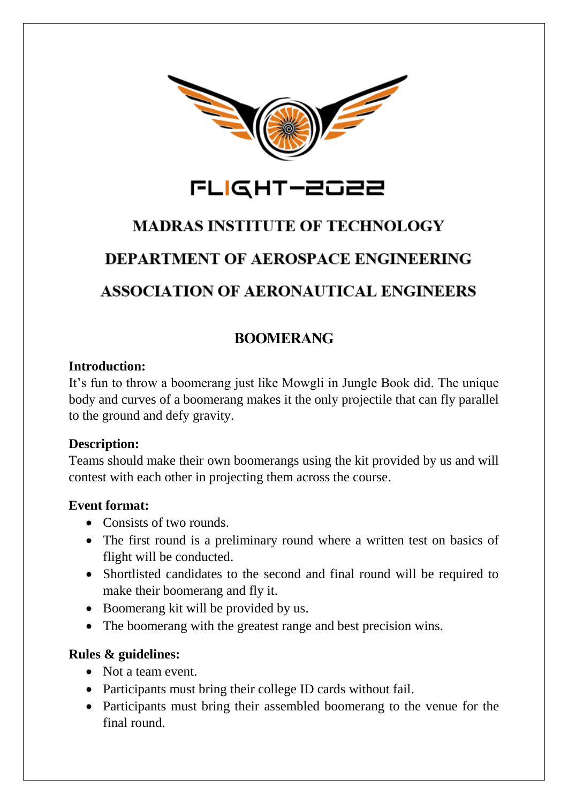

# **MADRAS INSTITUTE OF TECHNOLOGY**

# **DEPARTMENT OF AEROSPACE ENGINEERING**

# **ASSOCIATION OF AERONAUTICAL ENGINEERS**

## **BOOMERANG**

#### **Introduction:**

It's fun to throw a boomerang just like Mowgli in Jungle Book did. The unique body and curves of a boomerang makes it the only projectile that can fly parallel to the ground and defy gravity.

#### **Description:**

Teams should make their own boomerangs using the kit provided by us and will contest with each other in projecting them across the course.

#### **Event format:**

- Consists of two rounds.
- The first round is a preliminary round where a written test on basics of flight will be conducted.
- Shortlisted candidates to the second and final round will be required to make their boomerang and fly it.
- Boomerang kit will be provided by us.
- The boomerang with the greatest range and best precision wins.

### **Rules & guidelines:**

- Not a team event.
- Participants must bring their college ID cards without fail.
- Participants must bring their assembled boomerang to the venue for the final round.